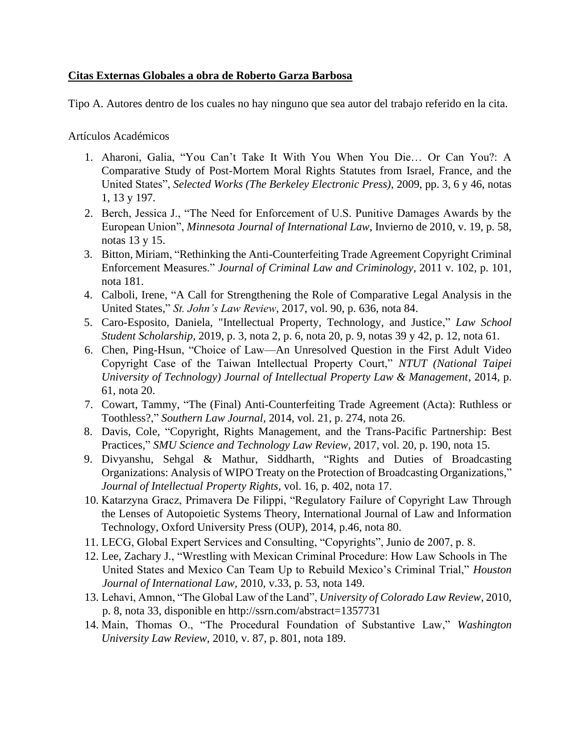## **Citas Externas Globales a obra de Roberto Garza Barbosa**

Tipo A. Autores dentro de los cuales no hay ninguno que sea autor del trabajo referido en la cita.

Artículos Académicos

- 1. Aharoni, Galia, "You Can't Take It With You When You Die… Or Can You?: A Comparative Study of Post-Mortem Moral Rights Statutes from Israel, France, and the United States", *Selected Works (The Berkeley Electronic Press)*, 2009, pp. 3, 6 y 46, notas 1, 13 y 197.
- 2. Berch, Jessica J., "The Need for Enforcement of U.S. Punitive Damages Awards by the European Union", *Minnesota Journal of International Law*, Invierno de 2010, v. 19, p. 58, notas 13 y 15.
- 3. Bitton, Miriam, "Rethinking the Anti-Counterfeiting Trade Agreement Copyright Criminal Enforcement Measures." *Journal of Criminal Law and Criminology*, 2011 v. 102, p. 101, nota 181.
- 4. Calboli, Irene, "A Call for Strengthening the Role of Comparative Legal Analysis in the United States," *St. John's Law Review*, 2017, vol. 90, p. 636, nota 84.
- 5. Caro-Esposito, Daniela, "Intellectual Property, Technology, and Justice," *Law School Student Scholarship*, 2019, p. 3, nota 2, p. 6, nota 20, p. 9, notas 39 y 42, p. 12, nota 61.
- 6. Chen, Ping-Hsun, "Choice of Law—An Unresolved Question in the First Adult Video Copyright Case of the Taiwan Intellectual Property Court," *NTUT (National Taipei University of Technology) Journal of Intellectual Property Law & Management*, 2014, p. 61, nota 20.
- 7. Cowart, Tammy, "The (Final) Anti-Counterfeiting Trade Agreement (Acta): Ruthless or Toothless?," *Southern Law Journal*, 2014, vol. 21, p. 274, nota 26.
- 8. Davis, Cole, "Copyright, Rights Management, and the Trans-Pacific Partnership: Best Practices," *SMU Science and Technology Law Review*, 2017, vol. 20, p. 190, nota 15.
- 9. Divyanshu, Sehgal & Mathur, Siddharth, "Rights and Duties of Broadcasting Organizations: Analysis of WIPO Treaty on the Protection of Broadcasting Organizations," *Journal of Intellectual Property Rights*, vol. 16, p. 402, nota 17.
- 10. Katarzyna Gracz, Primavera De Filippi, "Regulatory Failure of Copyright Law Through the Lenses of Autopoietic Systems Theory, International Journal of Law and Information Technology, Oxford University Press (OUP), 2014, p.46, nota 80.
- 11. LECG, Global Expert Services and Consulting, "Copyrights", Junio de 2007, p. 8.
- 12. Lee, Zachary J*.*, "Wrestling with Mexican Criminal Procedure: How Law Schools in The United States and Mexico Can Team Up to Rebuild Mexico's Criminal Trial," *Houston Journal of International Law,* 2010, v.33, p. 53, nota 149.
- 13. Lehavi, Amnon, "The Global Law of the Land", *University of Colorado Law Review*, 2010, p. 8, nota 33, disponible en http://ssrn.com/abstract=1357731
- 14. Main, Thomas O., "The Procedural Foundation of Substantive Law," *Washington University Law Review*, 2010, v. 87, p. 801, nota 189.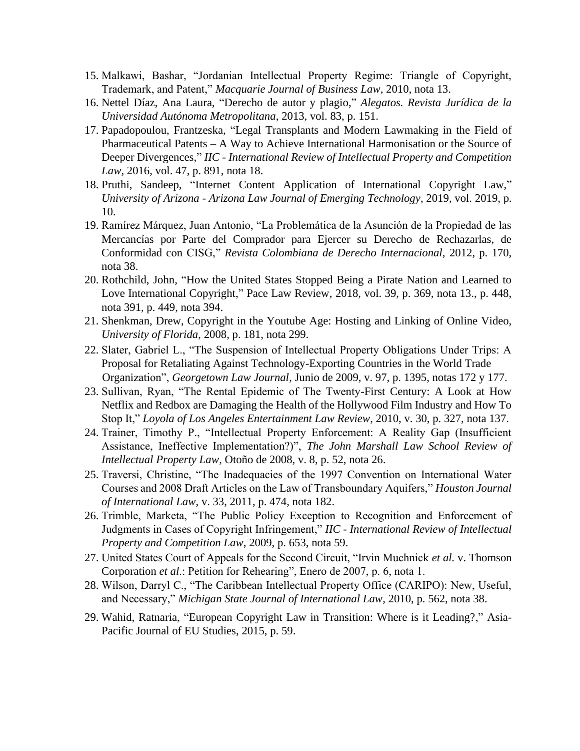- 15. Malkawi, Bashar, "Jordanian Intellectual Property Regime: Triangle of Copyright, Trademark, and Patent," *Macquarie Journal of Business Law*, 2010, nota 13.
- 16. Nettel Díaz, Ana Laura, "Derecho de autor y plagio," *Alegatos. Revista Jurídica de la Universidad Autónoma Metropolitana*, 2013, vol. 83, p. 151.
- 17. Papadopoulou, Frantzeska, "Legal Transplants and Modern Lawmaking in the Field of Pharmaceutical Patents – A Way to Achieve International Harmonisation or the Source of Deeper Divergences," *IIC - International Review of Intellectual Property and Competition Law,* 2016, vol. 47, p. 891, nota 18.
- 18. Pruthi, Sandeep, "Internet Content Application of International Copyright Law," *University of Arizona - Arizona Law Journal of Emerging Technology*, 2019, vol. 2019, p. 10.
- 19. Ramírez Márquez, Juan Antonio, "La Problemática de la Asunción de la Propiedad de las Mercancías por Parte del Comprador para Ejercer su Derecho de Rechazarlas, de Conformidad con CISG," *Revista Colombiana de Derecho Internacional,* 2012, p. 170, nota 38.
- 20. Rothchild, John, "How the United States Stopped Being a Pirate Nation and Learned to Love International Copyright," Pace Law Review, 2018, vol. 39, p. 369, nota 13., p. 448, nota 391, p. 449, nota 394.
- 21. Shenkman, Drew, Copyright in the Youtube Age: Hosting and Linking of Online Video, *University of Florida*, 2008, p. 181, nota 299.
- 22. Slater, Gabriel L., "The Suspension of Intellectual Property Obligations Under Trips: A Proposal for Retaliating Against Technology-Exporting Countries in the World Trade Organization", *Georgetown Law Journal*, Junio de 2009, v. 97, p. 1395, notas 172 y 177.
- 23. Sullivan, Ryan, "The Rental Epidemic of The Twenty-First Century: A Look at How Netflix and Redbox are Damaging the Health of the Hollywood Film Industry and How To Stop It," *Loyola of Los Angeles Entertainment Law Review*, 2010, v. 30, p. 327, nota 137.
- 24. Trainer, Timothy P., "Intellectual Property Enforcement: A Reality Gap (Insufficient Assistance, Ineffective Implementation?)", *The John Marshall Law School Review of Intellectual Property Law*, Otoño de 2008, v. 8, p. 52, nota 26.
- 25. Traversi, Christine, "The Inadequacies of the 1997 Convention on International Water Courses and 2008 Draft Articles on the Law of Transboundary Aquifers," *Houston Journal of International Law*, v. 33, 2011, p. 474, nota 182.
- 26. Trimble, Marketa, "The Public Policy Exception to Recognition and Enforcement of Judgments in Cases of Copyright Infringement," *IIC - International Review of Intellectual Property and Competition Law*, 2009, p. 653, nota 59.
- 27. United States Court of Appeals for the Second Circuit, "Irvin Muchnick *et al.* v. Thomson Corporation *et al*.: Petition for Rehearing", Enero de 2007, p. 6, nota 1.
- 28. Wilson, Darryl C., "The Caribbean Intellectual Property Office (CARIPO): New, Useful, and Necessary," *Michigan State Journal of International Law*, 2010, p. 562, nota 38.
- 29. Wahid, Ratnaria, "European Copyright Law in Transition: Where is it Leading?," Asia-Pacific Journal of EU Studies, 2015, p. 59.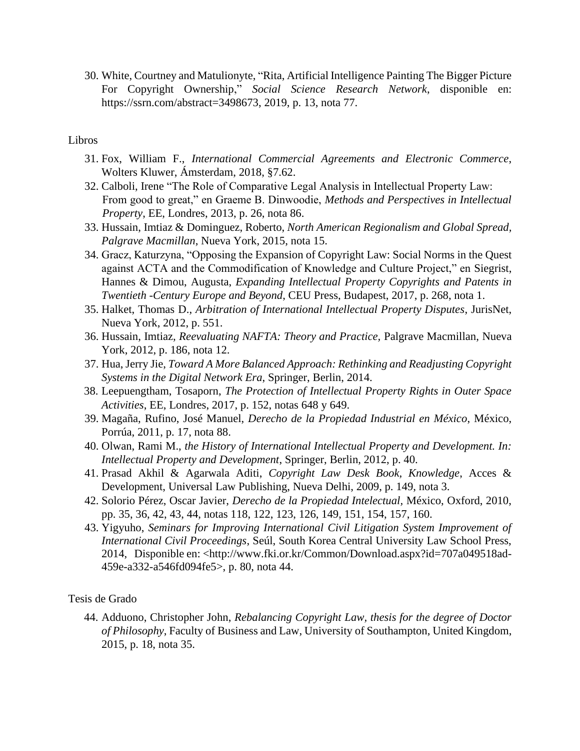30. White, Courtney and Matulionyte, "Rita, Artificial Intelligence Painting The Bigger Picture For Copyright Ownership," *Social Science Research Network*, disponible en: https://ssrn.com/abstract=3498673, 2019, p. 13, nota 77.

## Libros

- 31. Fox, William F., *International Commercial Agreements and Electronic Commerce*, Wolters Kluwer, Ámsterdam, 2018, §7.62.
- 32. Calboli, Irene "The Role of Comparative Legal Analysis in Intellectual Property Law: From good to great," en Graeme B. Dinwoodie, *Methods and Perspectives in Intellectual Property*, EE, Londres, 2013, p. 26, nota 86.
- 33. Hussain, Imtiaz & Dominguez, Roberto, *North American Regionalism and Global Spread, Palgrave Macmillan*, Nueva York, 2015, nota 15.
- 34. Gracz, Katurzyna, "Opposing the Expansion of Copyright Law: Social Norms in the Quest against ACTA and the Commodification of Knowledge and Culture Project," en Siegrist, Hannes & Dimou, Augusta, *Expanding Intellectual Property Copyrights and Patents in Twentieth -Century Europe and Beyond*, CEU Press, Budapest, 2017, p. 268, nota 1.
- 35. Halket, Thomas D., *Arbitration of International Intellectual Property Disputes*, JurisNet, Nueva York, 2012, p. 551.
- 36. Hussain, Imtiaz*, Reevaluating NAFTA: Theory and Practice,* Palgrave Macmillan, Nueva York, 2012, p. 186, nota 12.
- 37. Hua, Jerry Jie, *Toward A More Balanced Approach: Rethinking and Readjusting Copyright Systems in the Digital Network Era*, Springer, Berlin, 2014.
- 38. Leepuengtham, Tosaporn, *The Protection of Intellectual Property Rights in Outer Space Activities*, EE, Londres, 2017, p. 152, notas 648 y 649.
- 39. Magaña, Rufino, José Manuel, *Derecho de la Propiedad Industrial en México*, México, Porrúa, 2011, p. 17, nota 88.
- 40. Olwan, Rami M., *the History of International Intellectual Property and Development. In: Intellectual Property and Development*, Springer, Berlin, 2012, p. 40.
- 41. Prasad Akhil & Agarwala Aditi, *Copyright Law Desk Book, Knowledge*, Acces & Development, Universal Law Publishing, Nueva Delhi, 2009, p. 149, nota 3.
- 42. Solorio Pérez, Oscar Javier, *Derecho de la Propiedad Intelectual,* México, Oxford, 2010, pp. 35, 36, 42, 43, 44, notas 118, 122, 123, 126, 149, 151, 154, 157, 160.
- 43. Yigyuho, *Seminars for Improving International Civil Litigation System Improvement of International Civil Proceedings*, Seúl, South Korea Central University Law School Press, 2014, Disponible en: <http://www.fki.or.kr/Common/Download.aspx?id=707a049518ad-459e-a332-a546fd094fe5>, p. 80, nota 44.

Tesis de Grado

44. Adduono, Christopher John, *Rebalancing Copyright Law, thesis for the degree of Doctor of Philosophy*, Faculty of Business and Law, University of Southampton, United Kingdom, 2015, p. 18, nota 35.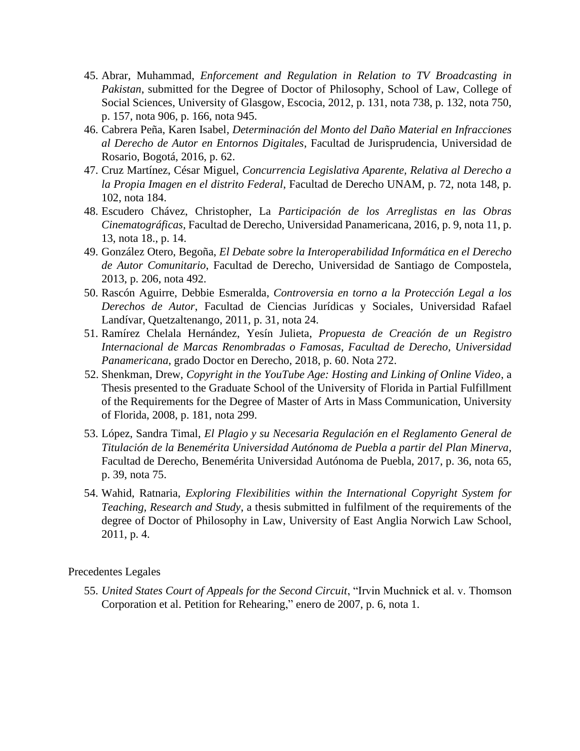- 45. Abrar, Muhammad, *Enforcement and Regulation in Relation to TV Broadcasting in Pakistan*, submitted for the Degree of Doctor of Philosophy, School of Law, College of Social Sciences, University of Glasgow, Escocia, 2012, p. 131, nota 738, p. 132, nota 750, p. 157, nota 906, p. 166, nota 945.
- 46. Cabrera Peña, Karen Isabel*, Determinación del Monto del Daño Material en Infracciones al Derecho de Autor en Entornos Digitales*, Facultad de Jurisprudencia, Universidad de Rosario, Bogotá, 2016, p. 62.
- 47. Cruz Martínez, César Miguel, *Concurrencia Legislativa Aparente, Relativa al Derecho a la Propia Imagen en el distrito Federal*, Facultad de Derecho UNAM, p. 72, nota 148, p. 102, nota 184.
- 48. Escudero Chávez, Christopher, La *Participación de los Arreglistas en las Obras Cinematográficas*, Facultad de Derecho, Universidad Panamericana, 2016, p. 9, nota 11, p. 13, nota 18., p. 14.
- 49. González Otero, Begoña, *El Debate sobre la Interoperabilidad Informática en el Derecho de Autor Comunitario*, Facultad de Derecho, Universidad de Santiago de Compostela, 2013, p. 206, nota 492.
- 50. Rascón Aguirre, Debbie Esmeralda, *Controversia en torno a la Protección Legal a los Derechos de Autor*, Facultad de Ciencias Jurídicas y Sociales, Universidad Rafael Landívar, Quetzaltenango, 2011, p. 31, nota 24.
- 51. Ramírez Chelala Hernández, Yesín Julieta, *Propuesta de Creación de un Registro Internacional de Marcas Renombradas o Famosas, Facultad de Derecho, Universidad Panamericana*, grado Doctor en Derecho, 2018, p. 60. Nota 272.
- 52. Shenkman, Drew, *Copyright in the YouTube Age: Hosting and Linking of Online Video*, a Thesis presented to the Graduate School of the University of Florida in Partial Fulfillment of the Requirements for the Degree of Master of Arts in Mass Communication, University of Florida, 2008, p. 181, nota 299.
- 53. López, Sandra Timal, *El Plagio y su Necesaria Regulación en el Reglamento General de Titulación de la Benemérita Universidad Autónoma de Puebla a partir del Plan Minerva*, Facultad de Derecho, Benemérita Universidad Autónoma de Puebla, 2017, p. 36, nota 65, p. 39, nota 75.
- 54. Wahid, Ratnaria, *Exploring Flexibilities within the International Copyright System for Teaching, Research and Study*, a thesis submitted in fulfilment of the requirements of the degree of Doctor of Philosophy in Law, University of East Anglia Norwich Law School, 2011, p. 4.

## Precedentes Legales

55. *United States Court of Appeals for the Second Circuit*, "Irvin Muchnick et al. v. Thomson Corporation et al. Petition for Rehearing," enero de 2007, p. 6, nota 1.